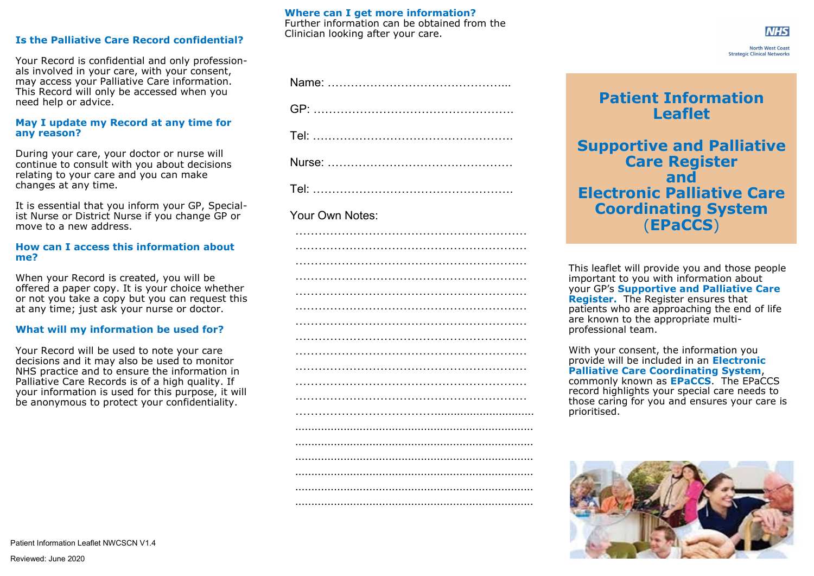## **Is the Palliative Care Record confidential?**

Your Record is confidential and only professionals involved in your care, with your consent, may access your Palliative Care information. This Record will only be accessed when you need help or advice.

#### **May I update my Record at any time for any reason?**

During your care, your doctor or nurse will continue to consult with you about decisions relating to your care and you can make changes at any time.

It is essential that you inform your GP, Specialist Nurse or District Nurse if you change GP or move to a new address.

#### **How can I access this information about me?**

When your Record is created, you will be offered a paper copy. It is your choice whether or not you take a copy but you can request this at any time; just ask your nurse or doctor.

### **What will my information be used for?**

Your Record will be used to note your care decisions and it may also be used to monitor NHS practice and to ensure the information in Palliative Care Records is of a high quality. If your information is used for this purpose, it will be anonymous to protect your confidentiality.

## **Where can I get more information?**

Further information can be obtained from the Clinician looking after your care.

## Your Own Notes:

|  | . |  |  |
|--|---|--|--|
|  |   |  |  |
|  |   |  |  |
|  |   |  |  |
|  |   |  |  |
|  |   |  |  |
|  |   |  |  |
|  |   |  |  |
|  |   |  |  |
|  |   |  |  |
|  |   |  |  |
|  |   |  |  |
|  |   |  |  |
|  |   |  |  |
|  |   |  |  |
|  |   |  |  |

# **Patient Information Leaflet**

**Supportive and Palliative Care Register and Electronic Palliative Care Coordinating System** (**EPaCCS**)

This leaflet will provide you and those people important to you with information about your GP's **Supportive and Palliative Care Register.** The Register ensures that patients who are approaching the end of life are known to the appropriate multiprofessional team.

With your consent, the information you provide will be included in an **Electronic Palliative Care Coordinating System**, commonly known as **EPaCCS**. The EPaCCS record highlights your special care needs to those caring for you and ensures your care is prioritised.



**NHS North West Coast**